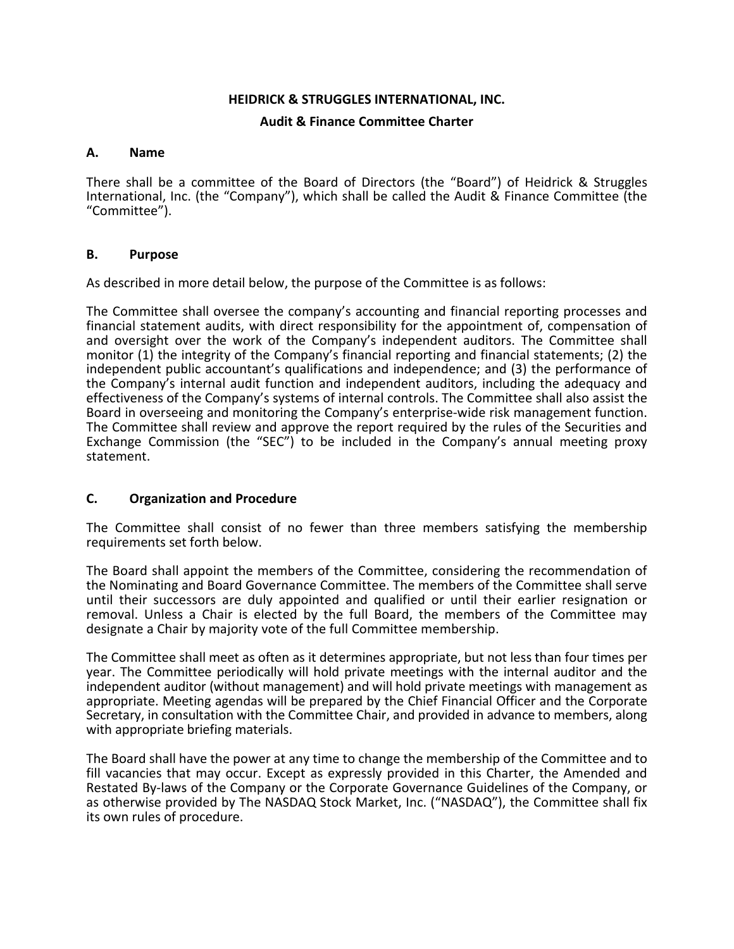#### **HEIDRICK & STRUGGLES INTERNATIONAL, INC.**

### **Audit & Finance Committee Charter**

#### **A. Name**

There shall be a committee of the Board of Directors (the "Board") of Heidrick & Struggles International, Inc. (the "Company"), which shall be called the Audit & Finance Committee (the "Committee").

### **B. Purpose**

As described in more detail below, the purpose of the Committee is as follows:

The Committee shall oversee the company's accounting and financial reporting processes and financial statement audits, with direct responsibility for the appointment of, compensation of and oversight over the work of the Company's independent auditors. The Committee shall monitor (1) the integrity of the Company's financial reporting and financial statements; (2) the independent public accountant's qualifications and independence; and (3) the performance of the Company's internal audit function and independent auditors, including the adequacy and effectiveness of the Company's systems of internal controls. The Committee shall also assist the Board in overseeing and monitoring the Company's enterprise-wide risk management function. The Committee shall review and approve the report required by the rules of the Securities and Exchange Commission (the "SEC") to be included in the Company's annual meeting proxy statement.

## **C. Organization and Procedure**

The Committee shall consist of no fewer than three members satisfying the membership requirements set forth below.

The Board shall appoint the members of the Committee, considering the recommendation of the Nominating and Board Governance Committee. The members of the Committee shall serve until their successors are duly appointed and qualified or until their earlier resignation or removal. Unless a Chair is elected by the full Board, the members of the Committee may designate a Chair by majority vote of the full Committee membership.

The Committee shall meet as often as it determines appropriate, but not less than four times per year. The Committee periodically will hold private meetings with the internal auditor and the independent auditor (without management) and will hold private meetings with management as appropriate. Meeting agendas will be prepared by the Chief Financial Officer and the Corporate Secretary, in consultation with the Committee Chair, and provided in advance to members, along with appropriate briefing materials.

The Board shall have the power at any time to change the membership of the Committee and to fill vacancies that may occur. Except as expressly provided in this Charter, the Amended and Restated By-laws of the Company or the Corporate Governance Guidelines of the Company, or as otherwise provided by The NASDAQ Stock Market, Inc. ("NASDAQ"), the Committee shall fix its own rules of procedure.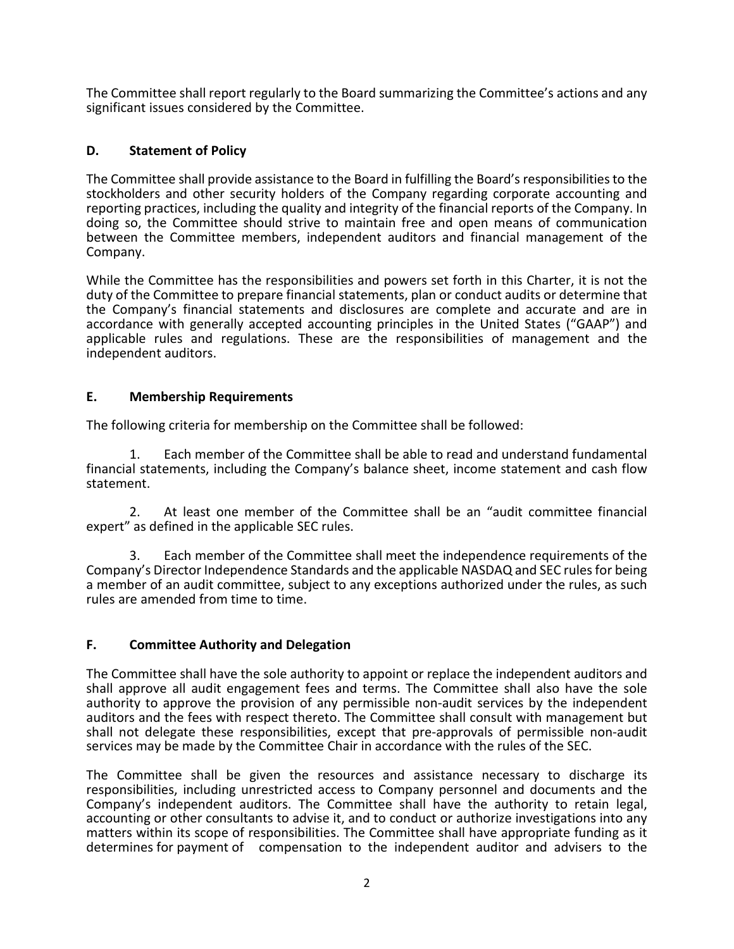The Committee shall report regularly to the Board summarizing the Committee's actions and any significant issues considered by the Committee.

# **D. Statement of Policy**

The Committee shall provide assistance to the Board in fulfilling the Board's responsibilities to the stockholders and other security holders of the Company regarding corporate accounting and reporting practices, including the quality and integrity of the financial reports of the Company. In doing so, the Committee should strive to maintain free and open means of communication between the Committee members, independent auditors and financial management of the Company.

While the Committee has the responsibilities and powers set forth in this Charter, it is not the duty of the Committee to prepare financial statements, plan or conduct audits or determine that the Company's financial statements and disclosures are complete and accurate and are in accordance with generally accepted accounting principles in the United States ("GAAP") and applicable rules and regulations. These are the responsibilities of management and the independent auditors.

# **E. Membership Requirements**

The following criteria for membership on the Committee shall be followed:

1. Each member of the Committee shall be able to read and understand fundamental financial statements, including the Company's balance sheet, income statement and cash flow statement.

2. At least one member of the Committee shall be an "audit committee financial expert" as defined in the applicable SEC rules.

3. Each member of the Committee shall meet the independence requirements of the Company's Director Independence Standards and the applicable NASDAQ and SEC rules for being a member of an audit committee, subject to any exceptions authorized under the rules, as such rules are amended from time to time.

# **F. Committee Authority and Delegation**

The Committee shall have the sole authority to appoint or replace the independent auditors and shall approve all audit engagement fees and terms. The Committee shall also have the sole authority to approve the provision of any permissible non-audit services by the independent auditors and the fees with respect thereto. The Committee shall consult with management but shall not delegate these responsibilities, except that pre-approvals of permissible non-audit services may be made by the Committee Chair in accordance with the rules of the SEC.

The Committee shall be given the resources and assistance necessary to discharge its responsibilities, including unrestricted access to Company personnel and documents and the Company's independent auditors. The Committee shall have the authority to retain legal, accounting or other consultants to advise it, and to conduct or authorize investigations into any matters within its scope of responsibilities. The Committee shall have appropriate funding as it determines for payment of compensation to the independent auditor and advisers to the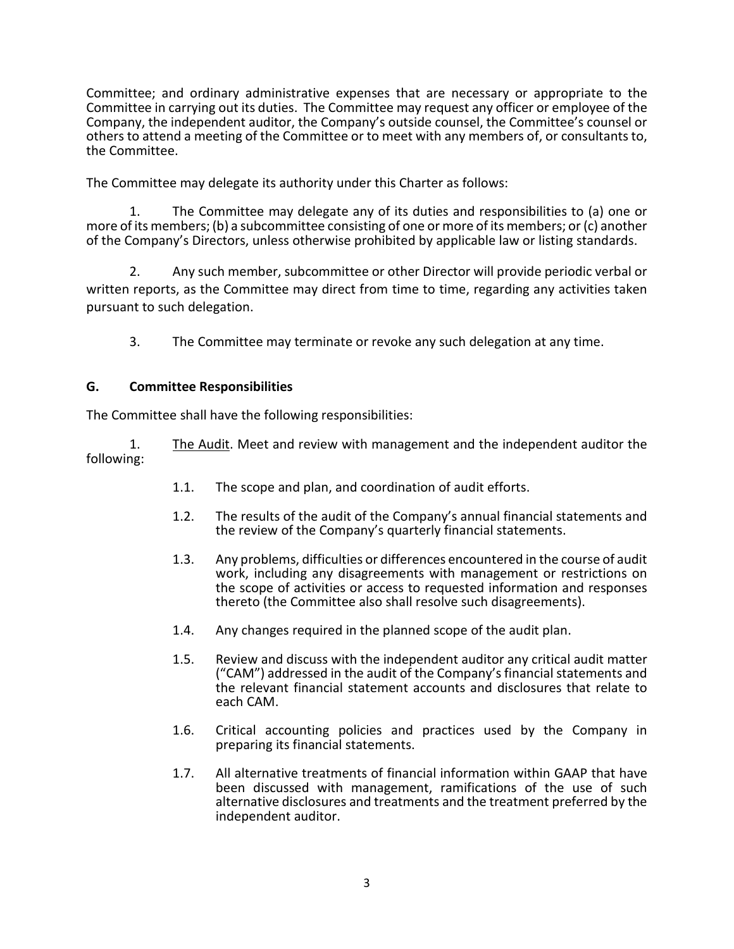Committee; and ordinary administrative expenses that are necessary or appropriate to the Committee in carrying out its duties. The Committee may request any officer or employee of the Company, the independent auditor, the Company's outside counsel, the Committee's counsel or others to attend a meeting of the Committee or to meet with any members of, or consultants to, the Committee.

The Committee may delegate its authority under this Charter as follows:

1. The Committee may delegate any of its duties and responsibilities to (a) one or more of its members; (b) a subcommittee consisting of one or more of its members; or (c) another of the Company's Directors, unless otherwise prohibited by applicable law or listing standards.

2. Any such member, subcommittee or other Director will provide periodic verbal or written reports, as the Committee may direct from time to time, regarding any activities taken pursuant to such delegation.

3. The Committee may terminate or revoke any such delegation at any time.

## **G. Committee Responsibilities**

The Committee shall have the following responsibilities:

1. The Audit. Meet and review with management and the independent auditor the following:

- 1.1. The scope and plan, and coordination of audit efforts.
- 1.2. The results of the audit of the Company's annual financial statements and the review of the Company's quarterly financial statements.
- 1.3. Any problems, difficulties or differences encountered in the course of audit work, including any disagreements with management or restrictions on the scope of activities or access to requested information and responses thereto (the Committee also shall resolve such disagreements).
- 1.4. Any changes required in the planned scope of the audit plan.
- 1.5. Review and discuss with the independent auditor any critical audit matter ("CAM") addressed in the audit of the Company's financial statements and the relevant financial statement accounts and disclosures that relate to each CAM.
- 1.6. Critical accounting policies and practices used by the Company in preparing its financial statements.
- 1.7. All alternative treatments of financial information within GAAP that have been discussed with management, ramifications of the use of such alternative disclosures and treatments and the treatment preferred by the independent auditor.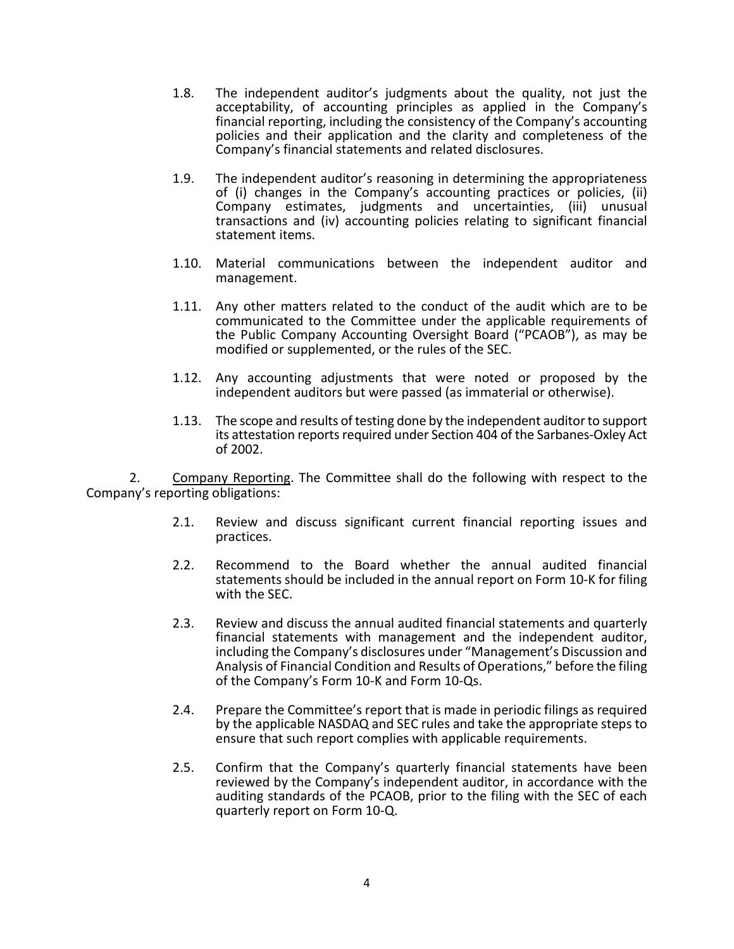- 1.8. The independent auditor's judgments about the quality, not just the acceptability, of accounting principles as applied in the Company's financial reporting, including the consistency of the Company's accounting policies and their application and the clarity and completeness of the Company's financial statements and related disclosures.
- 1.9. The independent auditor's reasoning in determining the appropriateness of (i) changes in the Company's accounting practices or policies, (ii) Company estimates, judgments and uncertainties, (iii) unusual transactions and (iv) accounting policies relating to significant financial statement items.
- 1.10. Material communications between the independent auditor and management.
- 1.11. Any other matters related to the conduct of the audit which are to be communicated to the Committee under the applicable requirements of the Public Company Accounting Oversight Board ("PCAOB"), as may be modified or supplemented, or the rules of the SEC.
- 1.12. Any accounting adjustments that were noted or proposed by the independent auditors but were passed (as immaterial or otherwise).
- 1.13. The scope and results of testing done by the independent auditor to support its attestation reports required under Section 404 of the Sarbanes-Oxley Act of 2002.

2. Company Reporting. The Committee shall do the following with respect to the Company's reporting obligations:

- 2.1. Review and discuss significant current financial reporting issues and practices.
- 2.2. Recommend to the Board whether the annual audited financial statements should be included in the annual report on Form 10-K for filing with the SEC.
- 2.3. Review and discuss the annual audited financial statements and quarterly financial statements with management and the independent auditor, including the Company's disclosures under "Management's Discussion and Analysis of Financial Condition and Results of Operations," before the filing of the Company's Form 10-K and Form 10-Qs.
- 2.4. Prepare the Committee's report that is made in periodic filings as required by the applicable NASDAQ and SEC rules and take the appropriate steps to ensure that such report complies with applicable requirements.
- 2.5. Confirm that the Company's quarterly financial statements have been reviewed by the Company's independent auditor, in accordance with the auditing standards of the PCAOB, prior to the filing with the SEC of each quarterly report on Form 10-Q.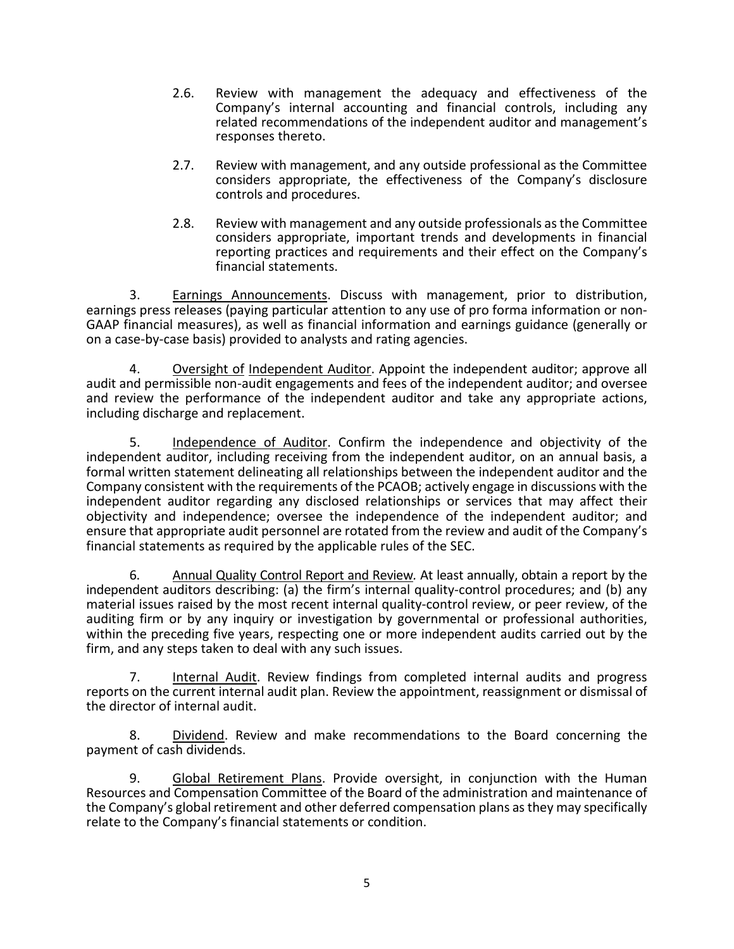- 2.6. Review with management the adequacy and effectiveness of the Company's internal accounting and financial controls, including any related recommendations of the independent auditor and management's responses thereto.
- 2.7. Review with management, and any outside professional as the Committee considers appropriate, the effectiveness of the Company's disclosure controls and procedures.
- 2.8. Review with management and any outside professionals as the Committee considers appropriate, important trends and developments in financial reporting practices and requirements and their effect on the Company's financial statements.

3. Earnings Announcements. Discuss with management, prior to distribution, earnings press releases (paying particular attention to any use of pro forma information or non-GAAP financial measures), as well as financial information and earnings guidance (generally or on a case-by-case basis) provided to analysts and rating agencies.

4. Oversight of Independent Auditor. Appoint the independent auditor; approve all audit and permissible non-audit engagements and fees of the independent auditor; and oversee and review the performance of the independent auditor and take any appropriate actions, including discharge and replacement.

5. Independence of Auditor. Confirm the independence and objectivity of the independent auditor, including receiving from the independent auditor, on an annual basis, a formal written statement delineating all relationships between the independent auditor and the Company consistent with the requirements of the PCAOB; actively engage in discussions with the independent auditor regarding any disclosed relationships or services that may affect their objectivity and independence; oversee the independence of the independent auditor; and ensure that appropriate audit personnel are rotated from the review and audit of the Company's financial statements as required by the applicable rules of the SEC.

6. Annual Quality Control Report and Review*.* At least annually, obtain a report by the independent auditors describing: (a) the firm's internal quality-control procedures; and (b) any material issues raised by the most recent internal quality-control review, or peer review, of the auditing firm or by any inquiry or investigation by governmental or professional authorities, within the preceding five years, respecting one or more independent audits carried out by the firm, and any steps taken to deal with any such issues.

7. Internal Audit. Review findings from completed internal audits and progress reports on the current internal audit plan. Review the appointment, reassignment or dismissal of the director of internal audit.

8. Dividend. Review and make recommendations to the Board concerning the payment of cash dividends.

9. Global Retirement Plans. Provide oversight, in conjunction with the Human Resources and Compensation Committee of the Board of the administration and maintenance of the Company's global retirement and other deferred compensation plans as they may specifically relate to the Company's financial statements or condition.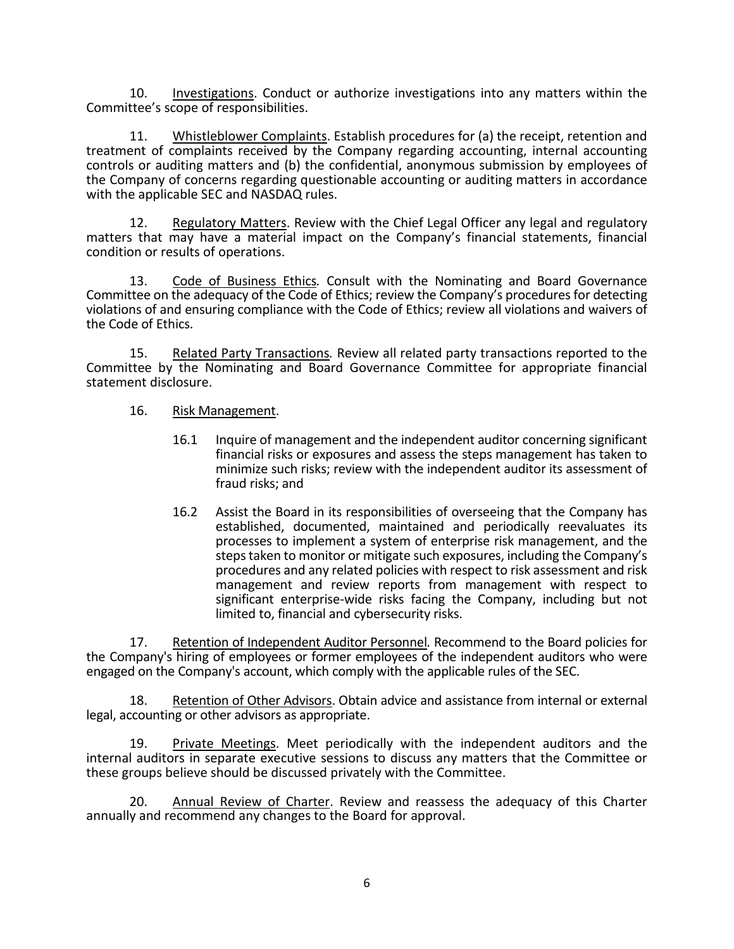10. Investigations. Conduct or authorize investigations into any matters within the Committee's scope of responsibilities.

11. Whistleblower Complaints. Establish procedures for (a) the receipt, retention and treatment of complaints received by the Company regarding accounting, internal accounting controls or auditing matters and (b) the confidential, anonymous submission by employees of the Company of concerns regarding questionable accounting or auditing matters in accordance with the applicable SEC and NASDAQ rules.

12. Regulatory Matters. Review with the Chief Legal Officer any legal and regulatory matters that may have a material impact on the Company's financial statements, financial condition or results of operations.

13. Code of Business Ethics*.* Consult with the Nominating and Board Governance Committee on the adequacy of the Code of Ethics; review the Company's procedures for detecting violations of and ensuring compliance with the Code of Ethics; review all violations and waivers of the Code of Ethics.

15. Related Party Transactions*.* Review all related party transactions reported to the Committee by the Nominating and Board Governance Committee for appropriate financial statement disclosure.

### 16. Risk Management.

- 16.1 Inquire of management and the independent auditor concerning significant financial risks or exposures and assess the steps management has taken to minimize such risks; review with the independent auditor its assessment of fraud risks; and
- 16.2 Assist the Board in its responsibilities of overseeing that the Company has established, documented, maintained and periodically reevaluates its processes to implement a system of enterprise risk management, and the steps taken to monitor or mitigate such exposures, including the Company's procedures and any related policies with respect to risk assessment and risk management and review reports from management with respect to significant enterprise-wide risks facing the Company, including but not limited to, financial and cybersecurity risks.

17. Retention of Independent Auditor Personnel*.* Recommend to the Board policies for the Company's hiring of employees or former employees of the independent auditors who were engaged on the Company's account, which comply with the applicable rules of the SEC.

18. Retention of Other Advisors. Obtain advice and assistance from internal or external legal, accounting or other advisors as appropriate.

19. Private Meetings. Meet periodically with the independent auditors and the internal auditors in separate executive sessions to discuss any matters that the Committee or these groups believe should be discussed privately with the Committee.

20. Annual Review of Charter. Review and reassess the adequacy of this Charter annually and recommend any changes to the Board for approval.